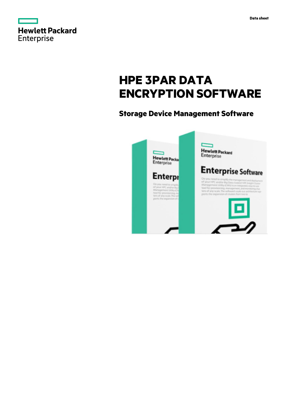|                   | <b>Hewlett Packard</b> |
|-------------------|------------------------|
| <b>Enterprise</b> |                        |

# **HPE 3PAR DATA ENCRYPTION SOFTWARE**

## **Storage Device Management Software**